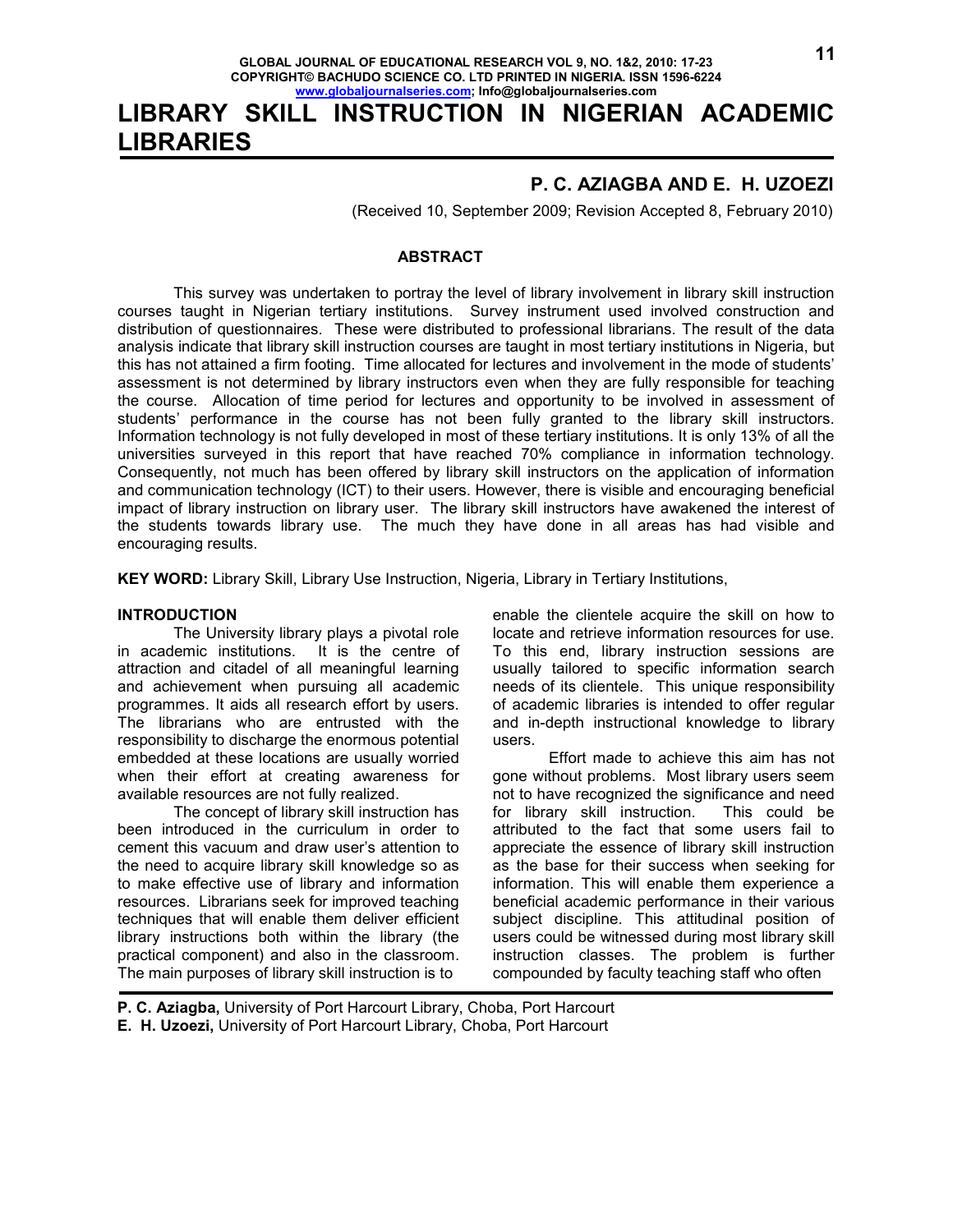# **LIBRARY SKILL INSTRUCTION IN NIGERIAN ACADEMIC LIBRARIES**

# **P. C. AZIAGBA AND E. H. UZOEZI**

(Received 10, September 2009; Revision Accepted 8, February 2010)

## **ABSTRACT**

 This survey was undertaken to portray the level of library involvement in library skill instruction courses taught in Nigerian tertiary institutions. Survey instrument used involved construction and distribution of questionnaires. These were distributed to professional librarians. The result of the data analysis indicate that library skill instruction courses are taught in most tertiary institutions in Nigeria, but this has not attained a firm footing. Time allocated for lectures and involvement in the mode of students' assessment is not determined by library instructors even when they are fully responsible for teaching the course. Allocation of time period for lectures and opportunity to be involved in assessment of students' performance in the course has not been fully granted to the library skill instructors. Information technology is not fully developed in most of these tertiary institutions. It is only 13% of all the universities surveyed in this report that have reached 70% compliance in information technology. Consequently, not much has been offered by library skill instructors on the application of information and communication technology (ICT) to their users. However, there is visible and encouraging beneficial impact of library instruction on library user. The library skill instructors have awakened the interest of the students towards library use. The much they have done in all areas has had visible and encouraging results.

**KEY WORD:** Library Skill, Library Use Instruction, Nigeria, Library in Tertiary Institutions,

#### **INTRODUCTION**

The University library plays a pivotal role in academic institutions. It is the centre of attraction and citadel of all meaningful learning and achievement when pursuing all academic programmes. It aids all research effort by users. The librarians who are entrusted with the responsibility to discharge the enormous potential embedded at these locations are usually worried when their effort at creating awareness for available resources are not fully realized.

 The concept of library skill instruction has been introduced in the curriculum in order to cement this vacuum and draw user's attention to the need to acquire library skill knowledge so as to make effective use of library and information resources. Librarians seek for improved teaching techniques that will enable them deliver efficient library instructions both within the library (the practical component) and also in the classroom. The main purposes of library skill instruction is to

enable the clientele acquire the skill on how to locate and retrieve information resources for use. To this end, library instruction sessions are usually tailored to specific information search needs of its clientele. This unique responsibility of academic libraries is intended to offer regular and in-depth instructional knowledge to library users.

 Effort made to achieve this aim has not gone without problems. Most library users seem not to have recognized the significance and need for library skill instruction. This could be attributed to the fact that some users fail to appreciate the essence of library skill instruction as the base for their success when seeking for information. This will enable them experience a beneficial academic performance in their various subject discipline. This attitudinal position of users could be witnessed during most library skill instruction classes. The problem is further compounded by faculty teaching staff who often

**P. C. Aziagba,** University of Port Harcourt Library, Choba, Port Harcourt **E. H. Uzoezi,** University of Port Harcourt Library, Choba, Port Harcourt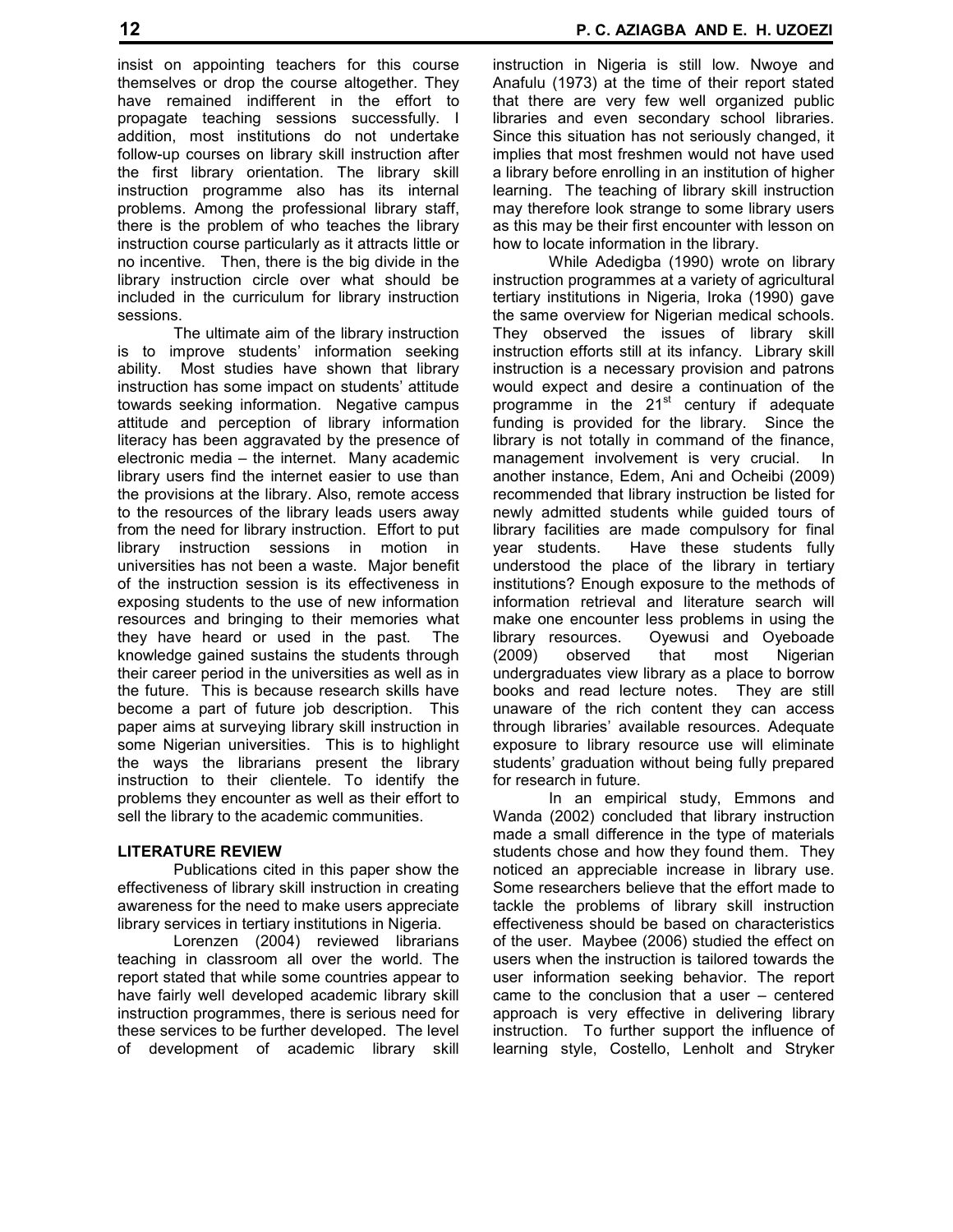insist on appointing teachers for this course themselves or drop the course altogether. They have remained indifferent in the effort to propagate teaching sessions successfully. I addition, most institutions do not undertake follow-up courses on library skill instruction after the first library orientation. The library skill instruction programme also has its internal problems. Among the professional library staff, there is the problem of who teaches the library instruction course particularly as it attracts little or no incentive. Then, there is the big divide in the library instruction circle over what should be included in the curriculum for library instruction sessions.

The ultimate aim of the library instruction is to improve students' information seeking ability. Most studies have shown that library instruction has some impact on students' attitude towards seeking information. Negative campus attitude and perception of library information literacy has been aggravated by the presence of electronic media – the internet. Many academic library users find the internet easier to use than the provisions at the library. Also, remote access to the resources of the library leads users away from the need for library instruction. Effort to put library instruction sessions in motion in universities has not been a waste. Major benefit of the instruction session is its effectiveness in exposing students to the use of new information resources and bringing to their memories what they have heard or used in the past. The knowledge gained sustains the students through their career period in the universities as well as in the future. This is because research skills have become a part of future job description. This paper aims at surveying library skill instruction in some Nigerian universities. This is to highlight the ways the librarians present the library instruction to their clientele. To identify the problems they encounter as well as their effort to sell the library to the academic communities.

# **LITERATURE REVIEW**

 Publications cited in this paper show the effectiveness of library skill instruction in creating awareness for the need to make users appreciate library services in tertiary institutions in Nigeria.

Lorenzen (2004) reviewed librarians teaching in classroom all over the world. The report stated that while some countries appear to have fairly well developed academic library skill instruction programmes, there is serious need for these services to be further developed. The level of development of academic library skill instruction in Nigeria is still low. Nwoye and Anafulu (1973) at the time of their report stated that there are very few well organized public libraries and even secondary school libraries. Since this situation has not seriously changed, it implies that most freshmen would not have used a library before enrolling in an institution of higher learning. The teaching of library skill instruction may therefore look strange to some library users as this may be their first encounter with lesson on how to locate information in the library.

 While Adedigba (1990) wrote on library instruction programmes at a variety of agricultural tertiary institutions in Nigeria, Iroka (1990) gave the same overview for Nigerian medical schools. They observed the issues of library skill instruction efforts still at its infancy. Library skill instruction is a necessary provision and patrons would expect and desire a continuation of the programme in the  $21<sup>st</sup>$  century if adequate funding is provided for the library. Since the library is not totally in command of the finance, management involvement is very crucial. In another instance, Edem, Ani and Ocheibi (2009) recommended that library instruction be listed for newly admitted students while guided tours of library facilities are made compulsory for final year students. Have these students fully understood the place of the library in tertiary institutions? Enough exposure to the methods of information retrieval and literature search will make one encounter less problems in using the library resources. Oyewusi and Oyeboade (2009) observed that most Nigerian undergraduates view library as a place to borrow books and read lecture notes. They are still unaware of the rich content they can access through libraries' available resources. Adequate exposure to library resource use will eliminate students' graduation without being fully prepared for research in future.

 In an empirical study, Emmons and Wanda (2002) concluded that library instruction made a small difference in the type of materials students chose and how they found them. They noticed an appreciable increase in library use. Some researchers believe that the effort made to tackle the problems of library skill instruction effectiveness should be based on characteristics of the user. Maybee (2006) studied the effect on users when the instruction is tailored towards the user information seeking behavior. The report came to the conclusion that a user – centered approach is very effective in delivering library instruction. To further support the influence of learning style, Costello, Lenholt and Stryker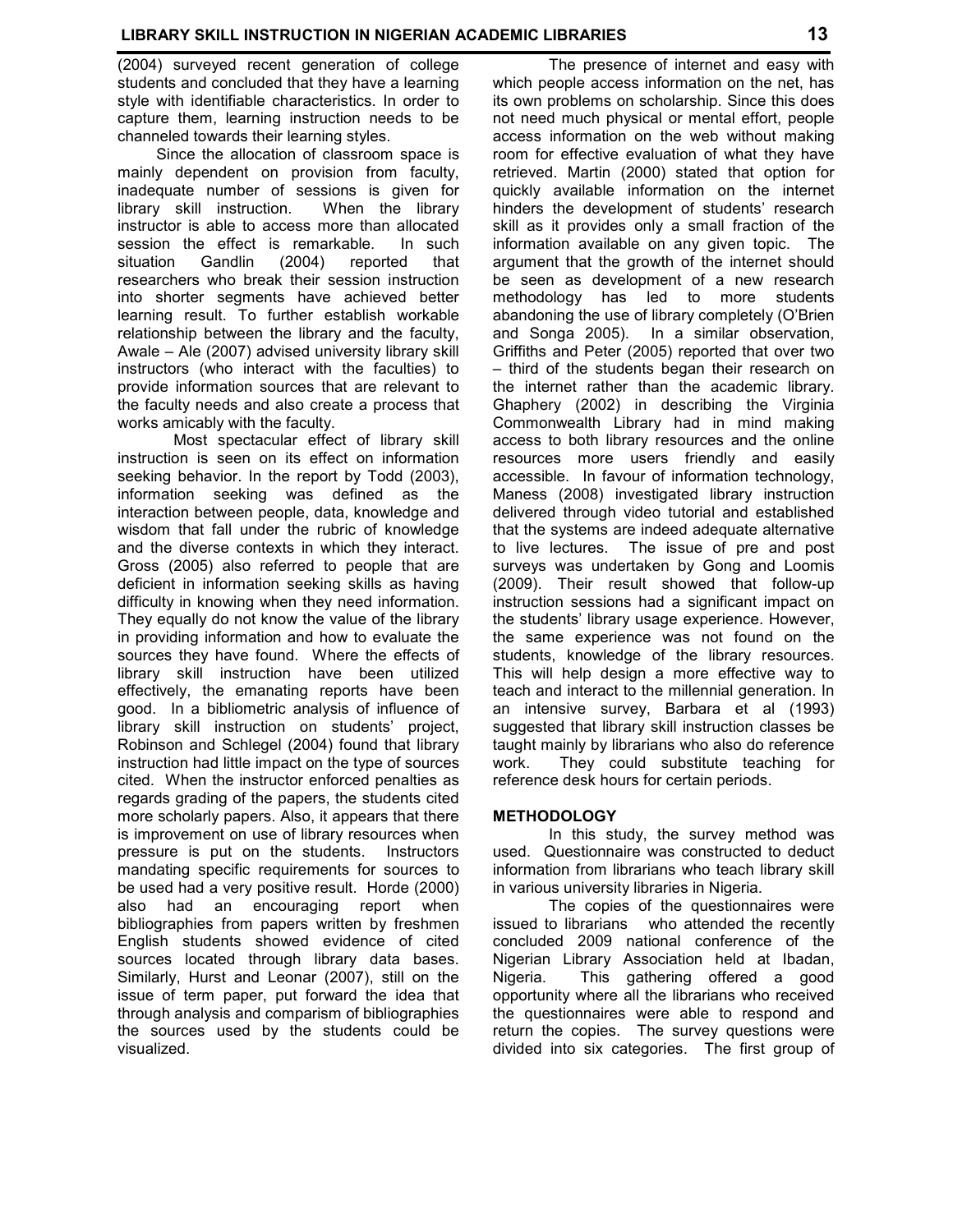(2004) surveyed recent generation of college students and concluded that they have a learning style with identifiable characteristics. In order to capture them, learning instruction needs to be channeled towards their learning styles.

 Since the allocation of classroom space is mainly dependent on provision from faculty, inadequate number of sessions is given for library skill instruction. When the library instructor is able to access more than allocated session the effect is remarkable. In such situation Gandlin (2004) reported that researchers who break their session instruction into shorter segments have achieved better learning result. To further establish workable relationship between the library and the faculty, Awale – Ale (2007) advised university library skill instructors (who interact with the faculties) to provide information sources that are relevant to the faculty needs and also create a process that works amicably with the faculty.

Most spectacular effect of library skill instruction is seen on its effect on information seeking behavior. In the report by Todd (2003), information seeking was defined as the interaction between people, data, knowledge and wisdom that fall under the rubric of knowledge and the diverse contexts in which they interact. Gross (2005) also referred to people that are deficient in information seeking skills as having difficulty in knowing when they need information. They equally do not know the value of the library in providing information and how to evaluate the sources they have found. Where the effects of library skill instruction have been utilized effectively, the emanating reports have been good. In a bibliometric analysis of influence of library skill instruction on students' project, Robinson and Schlegel (2004) found that library instruction had little impact on the type of sources cited. When the instructor enforced penalties as regards grading of the papers, the students cited more scholarly papers. Also, it appears that there is improvement on use of library resources when pressure is put on the students. Instructors mandating specific requirements for sources to be used had a very positive result. Horde (2000) also had an encouraging report when bibliographies from papers written by freshmen English students showed evidence of cited sources located through library data bases. Similarly, Hurst and Leonar (2007), still on the issue of term paper, put forward the idea that through analysis and comparism of bibliographies the sources used by the students could be visualized.

The presence of internet and easy with which people access information on the net, has its own problems on scholarship. Since this does not need much physical or mental effort, people access information on the web without making room for effective evaluation of what they have retrieved. Martin (2000) stated that option for quickly available information on the internet hinders the development of students' research skill as it provides only a small fraction of the information available on any given topic. The argument that the growth of the internet should be seen as development of a new research methodology has led to more students abandoning the use of library completely (O'Brien and Songa 2005). In a similar observation, Griffiths and Peter (2005) reported that over two – third of the students began their research on the internet rather than the academic library. Ghaphery (2002) in describing the Virginia Commonwealth Library had in mind making access to both library resources and the online resources more users friendly and easily accessible. In favour of information technology, Maness (2008) investigated library instruction delivered through video tutorial and established that the systems are indeed adequate alternative to live lectures. The issue of pre and post surveys was undertaken by Gong and Loomis (2009). Their result showed that follow-up instruction sessions had a significant impact on the students' library usage experience. However, the same experience was not found on the students, knowledge of the library resources. This will help design a more effective way to teach and interact to the millennial generation. In an intensive survey, Barbara et al (1993) suggested that library skill instruction classes be taught mainly by librarians who also do reference work. They could substitute teaching for reference desk hours for certain periods.

# **METHODOLOGY**

 In this study, the survey method was used. Questionnaire was constructed to deduct information from librarians who teach library skill in various university libraries in Nigeria.

 The copies of the questionnaires were issued to librarians who attended the recently concluded 2009 national conference of the Nigerian Library Association held at Ibadan, Nigeria. This gathering offered a good opportunity where all the librarians who received the questionnaires were able to respond and return the copies. The survey questions were divided into six categories. The first group of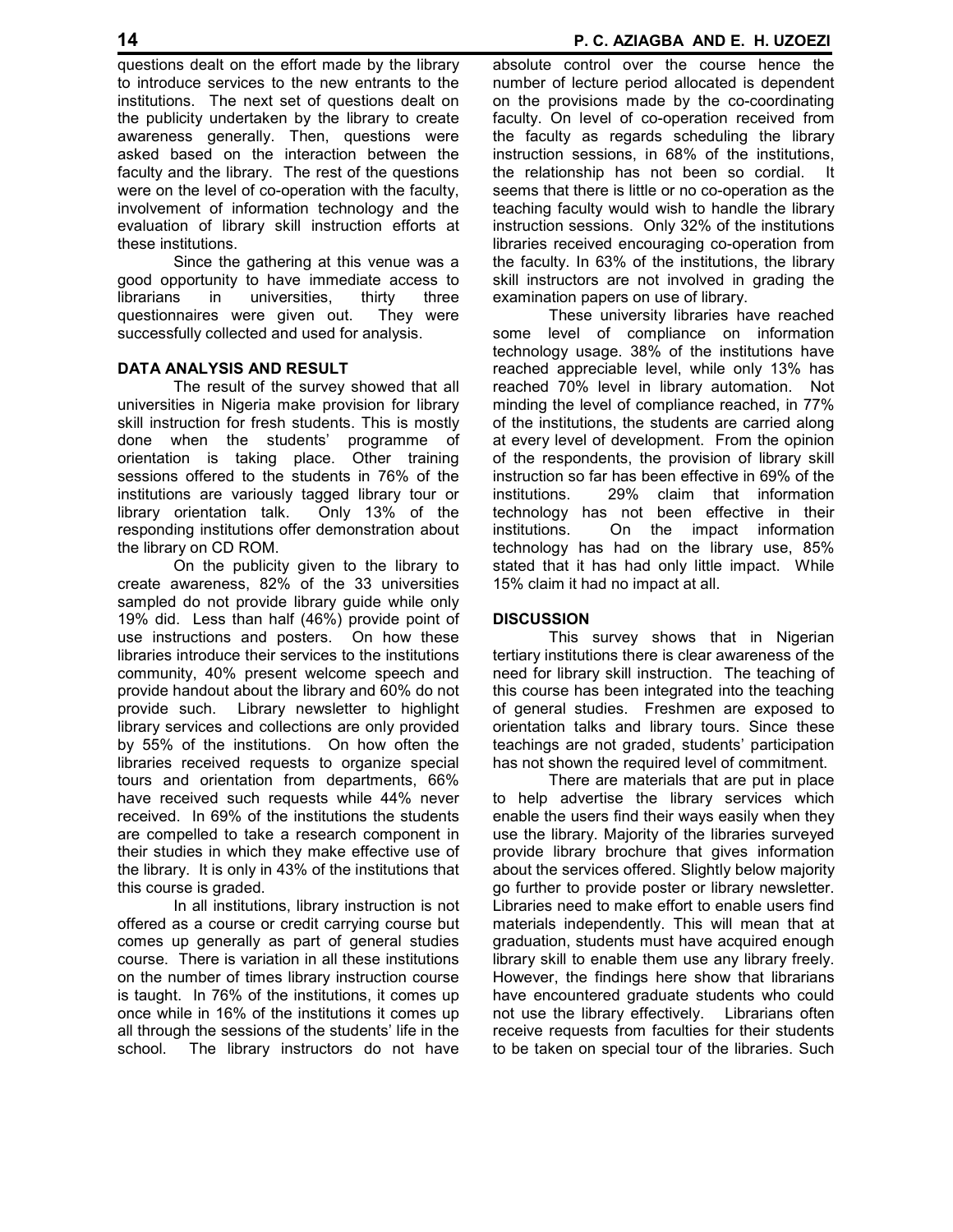questions dealt on the effort made by the library to introduce services to the new entrants to the institutions. The next set of questions dealt on the publicity undertaken by the library to create awareness generally. Then, questions were asked based on the interaction between the faculty and the library. The rest of the questions were on the level of co-operation with the faculty, involvement of information technology and the evaluation of library skill instruction efforts at these institutions.

 Since the gathering at this venue was a good opportunity to have immediate access to librarians in universities, thirty three questionnaires were given out. They were successfully collected and used for analysis.

## **DATA ANALYSIS AND RESULT**

 The result of the survey showed that all universities in Nigeria make provision for library skill instruction for fresh students. This is mostly done when the students' programme of orientation is taking place. Other training sessions offered to the students in 76% of the institutions are variously tagged library tour or library orientation talk. Only 13% of the responding institutions offer demonstration about the library on CD ROM.

 On the publicity given to the library to create awareness, 82% of the 33 universities sampled do not provide library guide while only 19% did. Less than half (46%) provide point of use instructions and posters. On how these libraries introduce their services to the institutions community, 40% present welcome speech and provide handout about the library and 60% do not provide such. Library newsletter to highlight library services and collections are only provided by 55% of the institutions. On how often the libraries received requests to organize special tours and orientation from departments, 66% have received such requests while 44% never received. In 69% of the institutions the students are compelled to take a research component in their studies in which they make effective use of the library. It is only in 43% of the institutions that this course is graded.

 In all institutions, library instruction is not offered as a course or credit carrying course but comes up generally as part of general studies course. There is variation in all these institutions on the number of times library instruction course is taught. In 76% of the institutions, it comes up once while in 16% of the institutions it comes up all through the sessions of the students' life in the school. The library instructors do not have

absolute control over the course hence the number of lecture period allocated is dependent on the provisions made by the co-coordinating faculty. On level of co-operation received from the faculty as regards scheduling the library instruction sessions, in 68% of the institutions, the relationship has not been so cordial. It seems that there is little or no co-operation as the teaching faculty would wish to handle the library instruction sessions. Only 32% of the institutions libraries received encouraging co-operation from the faculty. In 63% of the institutions, the library skill instructors are not involved in grading the examination papers on use of library.

These university libraries have reached some level of compliance on information technology usage. 38% of the institutions have reached appreciable level, while only 13% has reached 70% level in library automation. Not minding the level of compliance reached, in 77% of the institutions, the students are carried along at every level of development. From the opinion of the respondents, the provision of library skill instruction so far has been effective in 69% of the institutions. 29% claim that information technology has not been effective in their institutions. On the impact information technology has had on the library use, 85% stated that it has had only little impact. While 15% claim it had no impact at all.

#### **DISCUSSION**

 This survey shows that in Nigerian tertiary institutions there is clear awareness of the need for library skill instruction. The teaching of this course has been integrated into the teaching of general studies. Freshmen are exposed to orientation talks and library tours. Since these teachings are not graded, students' participation has not shown the required level of commitment.

There are materials that are put in place to help advertise the library services which enable the users find their ways easily when they use the library. Majority of the libraries surveyed provide library brochure that gives information about the services offered. Slightly below majority go further to provide poster or library newsletter. Libraries need to make effort to enable users find materials independently. This will mean that at graduation, students must have acquired enough library skill to enable them use any library freely. However, the findings here show that librarians have encountered graduate students who could not use the library effectively. Librarians often receive requests from faculties for their students to be taken on special tour of the libraries. Such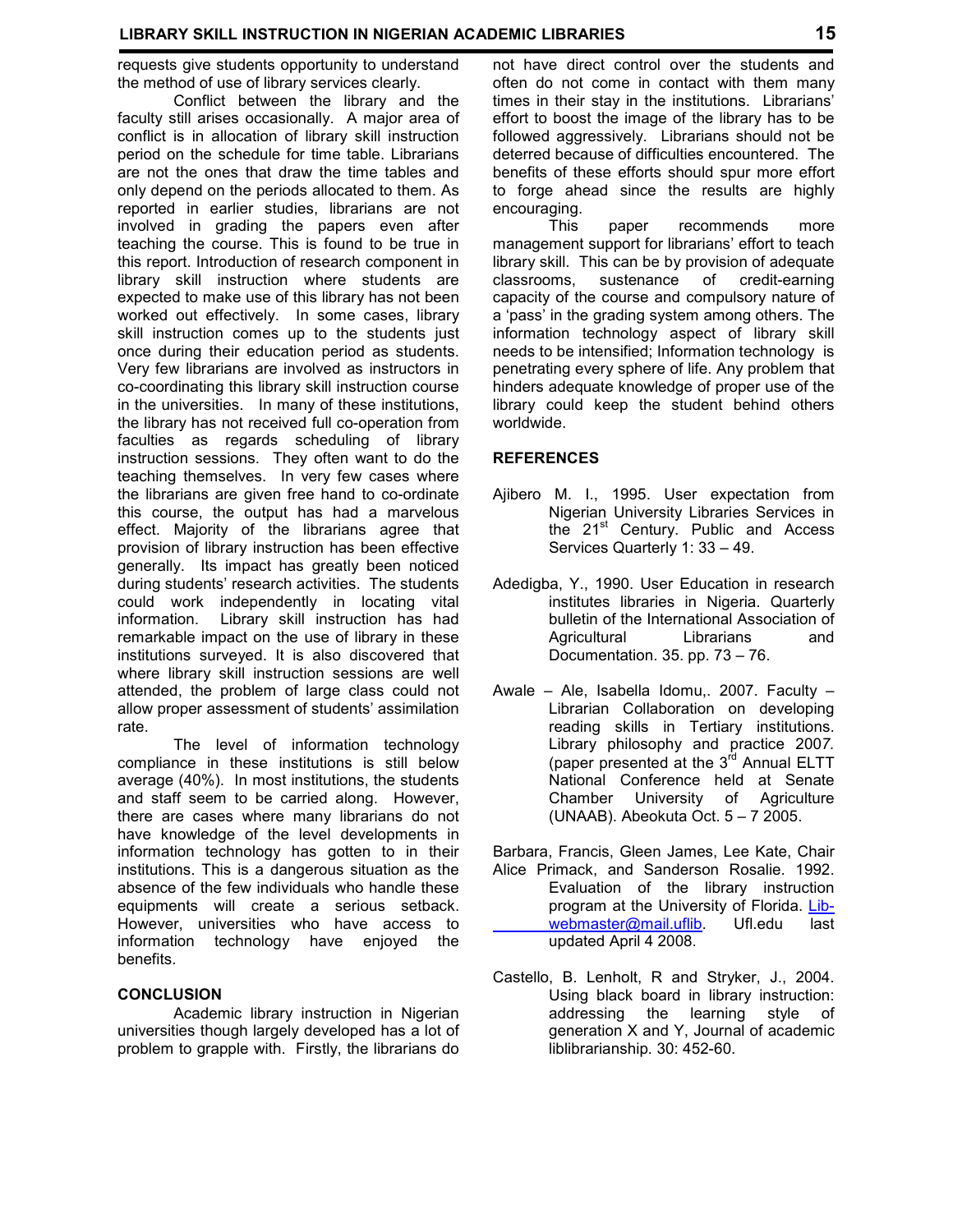requests give students opportunity to understand the method of use of library services clearly.

 Conflict between the library and the faculty still arises occasionally. A major area of conflict is in allocation of library skill instruction period on the schedule for time table. Librarians are not the ones that draw the time tables and only depend on the periods allocated to them. As reported in earlier studies, librarians are not involved in grading the papers even after teaching the course. This is found to be true in this report. Introduction of research component in library skill instruction where students are expected to make use of this library has not been worked out effectively. In some cases, library skill instruction comes up to the students just once during their education period as students. Very few librarians are involved as instructors in co-coordinating this library skill instruction course in the universities. In many of these institutions, the library has not received full co-operation from faculties as regards scheduling of library instruction sessions. They often want to do the teaching themselves. In very few cases where the librarians are given free hand to co-ordinate this course, the output has had a marvelous effect. Majority of the librarians agree that provision of library instruction has been effective generally. Its impact has greatly been noticed during students' research activities. The students could work independently in locating vital information. Library skill instruction has had remarkable impact on the use of library in these institutions surveyed. It is also discovered that where library skill instruction sessions are well attended, the problem of large class could not allow proper assessment of students' assimilation rate.

 The level of information technology compliance in these institutions is still below average (40%). In most institutions, the students and staff seem to be carried along. However, there are cases where many librarians do not have knowledge of the level developments in information technology has gotten to in their institutions. This is a dangerous situation as the absence of the few individuals who handle these equipments will create a serious setback. However, universities who have access to information technology have enjoyed the benefits.

#### **CONCLUSION**

 Academic library instruction in Nigerian universities though largely developed has a lot of problem to grapple with. Firstly, the librarians do not have direct control over the students and often do not come in contact with them many times in their stay in the institutions. Librarians' effort to boost the image of the library has to be followed aggressively. Librarians should not be deterred because of difficulties encountered. The benefits of these efforts should spur more effort to forge ahead since the results are highly encouraging.

 This paper recommends more management support for librarians' effort to teach library skill. This can be by provision of adequate classrooms, sustenance of credit-earning capacity of the course and compulsory nature of a 'pass' in the grading system among others. The information technology aspect of library skill needs to be intensified; Information technology is penetrating every sphere of life. Any problem that hinders adequate knowledge of proper use of the library could keep the student behind others worldwide.

#### **REFERENCES**

- Ajibero M. I., 1995. User expectation from Nigerian University Libraries Services in the 21<sup>st</sup> Century. Public and Access Services Quarterly 1: 33 – 49.
- Adedigba, Y., 1990. User Education in research institutes libraries in Nigeria. Quarterly bulletin of the International Association of Agricultural Librarians and Documentation. 35. pp. 73 – 76.
- Awale Ale, Isabella Idomu,. 2007. Faculty Librarian Collaboration on developing reading skills in Tertiary institutions. Library philosophy and practice 200*7.* (paper presented at the 3<sup>rd</sup> Annual ELTT National Conference held at Senate Chamber University of Agriculture (UNAAB). Abeokuta Oct. 5 – 7 2005.

Barbara, Francis, Gleen James, Lee Kate, Chair Alice Primack, and Sanderson Rosalie. 1992. Evaluation of the library instruction program at the University of Florida. Lib webmaster@mail.uflib. Ufl.edu last

updated April 4 2008.

Castello, B. Lenholt, R and Stryker, J., 2004. Using black board in library instruction: addressing the learning style of generation X and Y, Journal of academic liblibrarianship*.* 30: 452-60.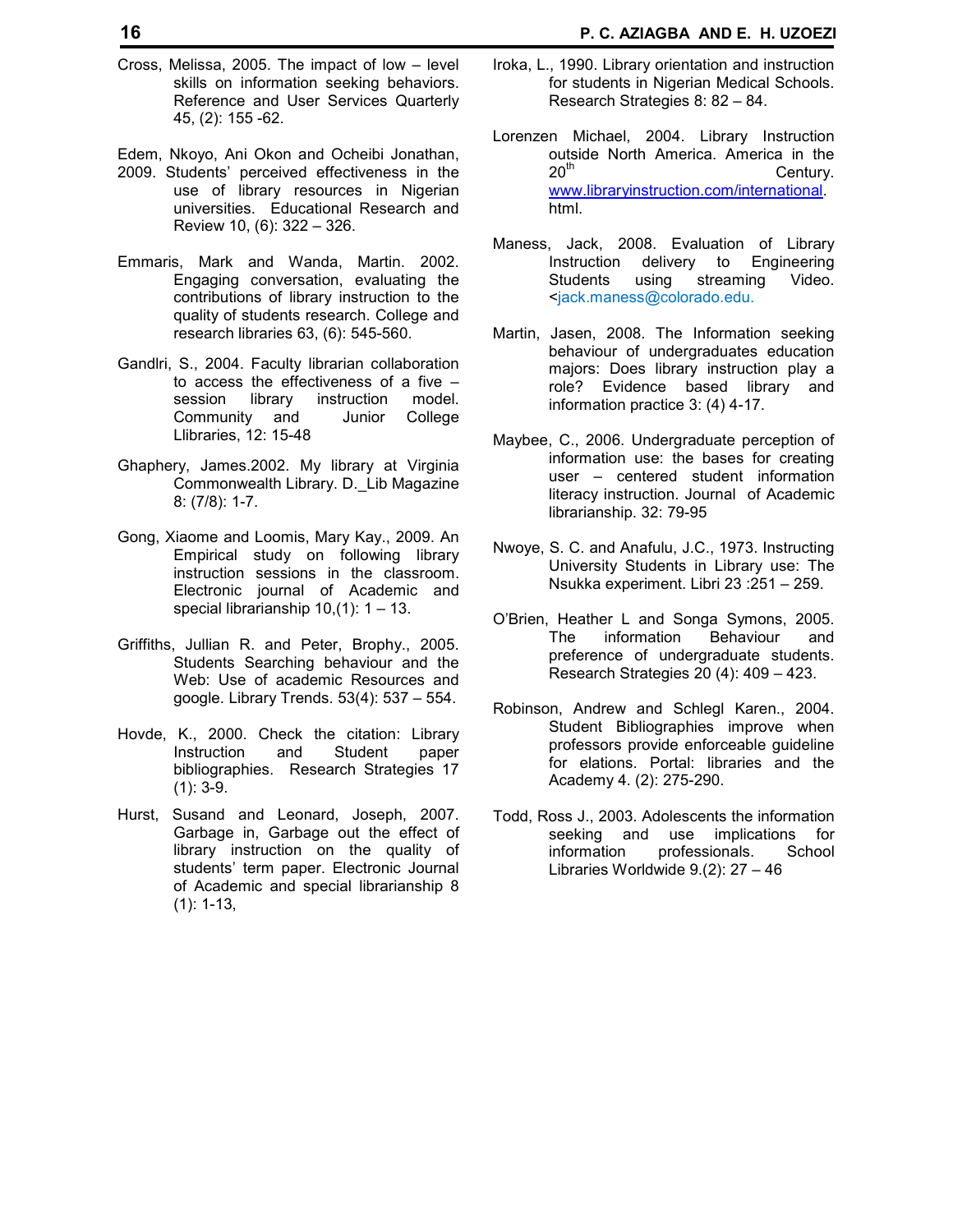- Cross, Melissa, 2005. The impact of low level skills on information seeking behaviors. Reference and User Services Quarterly 45, (2): 155 -62.
- Edem, Nkoyo, Ani Okon and Ocheibi Jonathan,
- 2009. Students' perceived effectiveness in the use of library resources in Nigerian universities. Educational Research and Review 10, (6): 322 – 326.
- Emmaris, Mark and Wanda, Martin. 2002. Engaging conversation, evaluating the contributions of library instruction to the quality of students research. College and research libraries 63, (6): 545-560.
- Gandlri, S., 2004. Faculty librarian collaboration to access the effectiveness of a five – session library instruction model. Community and Junior College Llibraries, 12: 15-48
- Ghaphery, James.2002. My library at Virginia Commonwealth Library. D.\_Lib Magazine 8: (7/8): 1-7.
- Gong, Xiaome and Loomis, Mary Kay., 2009. An Empirical study on following library instruction sessions in the classroom. Electronic journal of Academic and special librarianship 10,(1): 1 – 13.
- Griffiths, Jullian R. and Peter, Brophy., 2005. Students Searching behaviour and the Web: Use of academic Resources and google. Library Trends. 53(4): 537 – 554.
- Hovde, K., 2000. Check the citation: Library Instruction and Student paper bibliographies. Research Strategies 17  $(1): 3-9.$
- Hurst, Susand and Leonard, Joseph, 2007. Garbage in, Garbage out the effect of library instruction on the quality of students' term paper. Electronic Journal of Academic and special librarianship 8 (1): 1-13,
- Iroka, L., 1990. Library orientation and instruction for students in Nigerian Medical Schools. Research Strategies 8: 82 – 84.
- Lorenzen Michael, 2004. Library Instruction outside North America. America in the 20<sup>th</sup> Century. www.libraryinstruction.com/international. html.
- Maness, Jack, 2008. Evaluation of Library Instruction delivery to Engineering Students using streaming Video. <jack.maness@colorado.edu.
- Martin, Jasen, 2008. The Information seeking behaviour of undergraduates education majors: Does library instruction play a role? Evidence based library and information practice 3: (4) 4-17.
- Maybee, C., 2006. Undergraduate perception of information use: the bases for creating user – centered student information literacy instruction. Journal of Academic librarianship. 32: 79-95
- Nwoye, S. C. and Anafulu, J.C., 1973. Instructing University Students in Library use: The Nsukka experiment. Libri 23 :251 – 259.
- O'Brien, Heather L and Songa Symons, 2005. The information Behaviour and preference of undergraduate students. Research Strategies 20 (4): 409 – 423.
- Robinson, Andrew and Schlegl Karen., 2004. Student Bibliographies improve when professors provide enforceable guideline for elations. Portal: libraries and the Academy 4. (2): 275-290.
- Todd, Ross J., 2003. Adolescents the information seeking and use implications for information professionals. School Libraries Worldwide 9.(2): 27 – 46